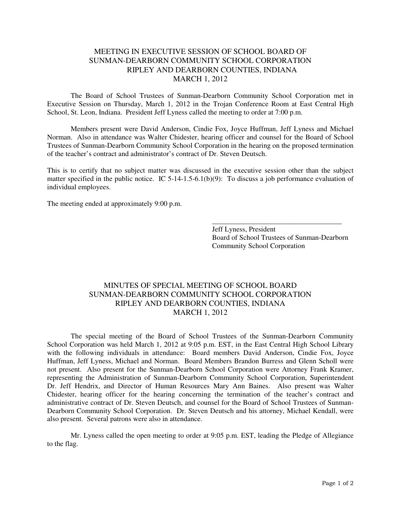## MEETING IN EXECUTIVE SESSION OF SCHOOL BOARD OF SUNMAN-DEARBORN COMMUNITY SCHOOL CORPORATION RIPLEY AND DEARBORN COUNTIES, INDIANA MARCH 1, 2012

The Board of School Trustees of Sunman-Dearborn Community School Corporation met in Executive Session on Thursday, March 1, 2012 in the Trojan Conference Room at East Central High School, St. Leon, Indiana. President Jeff Lyness called the meeting to order at 7:00 p.m.

Members present were David Anderson, Cindie Fox, Joyce Huffman, Jeff Lyness and Michael Norman. Also in attendance was Walter Chidester, hearing officer and counsel for the Board of School Trustees of Sunman-Dearborn Community School Corporation in the hearing on the proposed termination of the teacher's contract and administrator's contract of Dr. Steven Deutsch.

This is to certify that no subject matter was discussed in the executive session other than the subject matter specified in the public notice. IC 5-14-1.5-6.1(b)(9): To discuss a job performance evaluation of individual employees.

 $\overline{\phantom{a}}$  , and the contract of the contract of the contract of the contract of the contract of the contract of the contract of the contract of the contract of the contract of the contract of the contract of the contrac

The meeting ended at approximately 9:00 p.m.

 Jeff Lyness, President Board of School Trustees of Sunman-Dearborn Community School Corporation

## MINUTES OF SPECIAL MEETING OF SCHOOL BOARD SUNMAN-DEARBORN COMMUNITY SCHOOL CORPORATION RIPLEY AND DEARBORN COUNTIES, INDIANA MARCH 1, 2012

The special meeting of the Board of School Trustees of the Sunman-Dearborn Community School Corporation was held March 1, 2012 at 9:05 p.m. EST, in the East Central High School Library with the following individuals in attendance: Board members David Anderson, Cindie Fox, Joyce Huffman, Jeff Lyness, Michael and Norman. Board Members Brandon Burress and Glenn Scholl were not present. Also present for the Sunman-Dearborn School Corporation were Attorney Frank Kramer, representing the Administration of Sunman-Dearborn Community School Corporation, Superintendent Dr. Jeff Hendrix, and Director of Human Resources Mary Ann Baines. Also present was Walter Chidester, hearing officer for the hearing concerning the termination of the teacher's contract and administrative contract of Dr. Steven Deutsch, and counsel for the Board of School Trustees of Sunman-Dearborn Community School Corporation. Dr. Steven Deutsch and his attorney, Michael Kendall, were also present. Several patrons were also in attendance.

 Mr. Lyness called the open meeting to order at 9:05 p.m. EST, leading the Pledge of Allegiance to the flag.